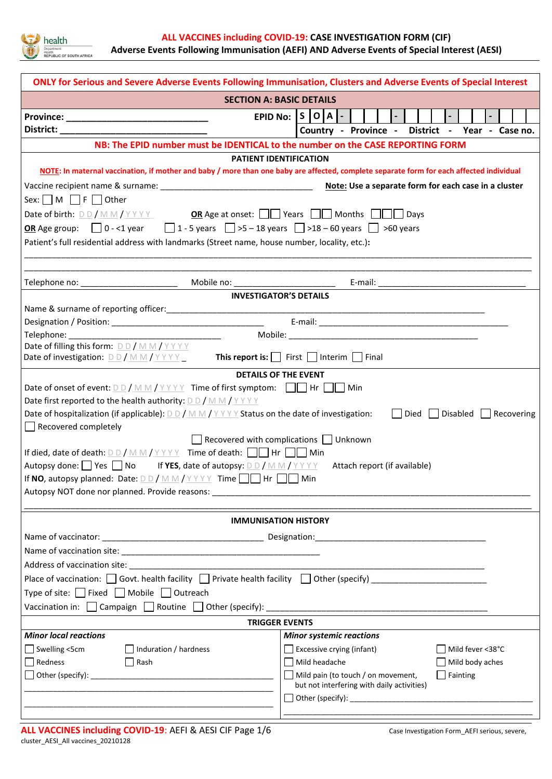

| ONLY for Serious and Severe Adverse Events Following Immunisation, Clusters and Adverse Events of Special Interest     |                                                                                                                                          |  |  |  |  |  |
|------------------------------------------------------------------------------------------------------------------------|------------------------------------------------------------------------------------------------------------------------------------------|--|--|--|--|--|
| <b>SECTION A: BASIC DETAILS</b>                                                                                        |                                                                                                                                          |  |  |  |  |  |
|                                                                                                                        | EPID No: $ S O A$ -                                                                                                                      |  |  |  |  |  |
| District: __________________________________                                                                           | Country - Province - District - Year - Case no.                                                                                          |  |  |  |  |  |
| NB: The EPID number must be IDENTICAL to the number on the CASE REPORTING FORM                                         |                                                                                                                                          |  |  |  |  |  |
|                                                                                                                        | <b>PATIENT IDENTIFICATION</b>                                                                                                            |  |  |  |  |  |
|                                                                                                                        | NOTE: In maternal vaccination, if mother and baby / more than one baby are affected, complete separate form for each affected individual |  |  |  |  |  |
|                                                                                                                        |                                                                                                                                          |  |  |  |  |  |
| Sex: $\Box$ M $\Box$ F $\Box$ Other                                                                                    |                                                                                                                                          |  |  |  |  |  |
| Date of birth: $D D / M M / Y Y Y Y$ OR Age at onset: $\Box$ Years $\Box$ Months $\Box$ Days                           |                                                                                                                                          |  |  |  |  |  |
| <b>OR</b> Age group: $\Box$ 0 - <1 year $\Box$ 1 - 5 years $\Box$ >5 - 18 years $\Box$ >18 - 60 years $\Box$ >60 years |                                                                                                                                          |  |  |  |  |  |
| Patient's full residential address with landmarks (Street name, house number, locality, etc.):                         |                                                                                                                                          |  |  |  |  |  |
|                                                                                                                        |                                                                                                                                          |  |  |  |  |  |
|                                                                                                                        |                                                                                                                                          |  |  |  |  |  |
|                                                                                                                        | <b>INVESTIGATOR'S DETAILS</b>                                                                                                            |  |  |  |  |  |
|                                                                                                                        |                                                                                                                                          |  |  |  |  |  |
|                                                                                                                        |                                                                                                                                          |  |  |  |  |  |
|                                                                                                                        |                                                                                                                                          |  |  |  |  |  |
| Date of filling this form: $D D / M M / Y Y Y Y$                                                                       |                                                                                                                                          |  |  |  |  |  |
| Date of investigation: $D D / M M / Y Y Y Y$                                                                           | <b>This report is:</b> $\Box$ First $\Box$ Interim $\Box$ Final                                                                          |  |  |  |  |  |
|                                                                                                                        | <b>DETAILS OF THE EVENT</b>                                                                                                              |  |  |  |  |  |
| Date of onset of event: $D D / M M / Y Y Y Y$ Time of first symptom: $\Box$ Hr $\Box$ Min                              |                                                                                                                                          |  |  |  |  |  |
| Date first reported to the health authority: $D D / M M / Y Y Y Y$                                                     |                                                                                                                                          |  |  |  |  |  |
| Date of hospitalization (if applicable): $D D / M M / Y Y Y$ Status on the date of investigation:                      | Died  <br>Disabled <b>Recovering</b>                                                                                                     |  |  |  |  |  |
| Recovered completely                                                                                                   |                                                                                                                                          |  |  |  |  |  |
| Recovered with complications $\Box$ Unknown                                                                            |                                                                                                                                          |  |  |  |  |  |
| If died, date of death: $D D / M M / Y Y Y Y$ Time of death: $\Box$ Hr $\Box$ Min                                      |                                                                                                                                          |  |  |  |  |  |
| Autopsy done: Yes No If YES, date of autopsy: $D D / M M / Y Y Y Y$ Attach report (if available)                       |                                                                                                                                          |  |  |  |  |  |
| If NO, autopsy planned: Date: $D D / M M / Y Y Y Y$ Time $\Box$ Hr $\Box$ Min                                          |                                                                                                                                          |  |  |  |  |  |
| Autopsy NOT done nor planned. Provide reasons: Automation of the state of the state of the state of the state o        |                                                                                                                                          |  |  |  |  |  |
|                                                                                                                        |                                                                                                                                          |  |  |  |  |  |
|                                                                                                                        | <b>IMMUNISATION HISTORY</b>                                                                                                              |  |  |  |  |  |
|                                                                                                                        |                                                                                                                                          |  |  |  |  |  |
|                                                                                                                        |                                                                                                                                          |  |  |  |  |  |
|                                                                                                                        |                                                                                                                                          |  |  |  |  |  |
| Place of vaccination: $\Box$ Govt. health facility $\Box$ Private health facility $\Box$ Other (specify)               |                                                                                                                                          |  |  |  |  |  |
| Type of site: $\Box$ Fixed $\Box$ Mobile $\Box$ Outreach                                                               |                                                                                                                                          |  |  |  |  |  |
|                                                                                                                        |                                                                                                                                          |  |  |  |  |  |
| <b>TRIGGER EVENTS</b>                                                                                                  |                                                                                                                                          |  |  |  |  |  |
| <b>Minor local reactions</b>                                                                                           | <b>Minor systemic reactions</b>                                                                                                          |  |  |  |  |  |
| $\Box$ Swelling <5cm<br>Induration / hardness                                                                          | Excessive crying (infant)<br>Mild fever <38°C                                                                                            |  |  |  |  |  |
| $\Box$ Redness<br>  Rash                                                                                               | Mild headache<br>$\Box$ Mild body aches                                                                                                  |  |  |  |  |  |
|                                                                                                                        | $\Box$ Mild pain (to touch / on movement,<br>$\Box$ Fainting                                                                             |  |  |  |  |  |
|                                                                                                                        | but not interfering with daily activities)                                                                                               |  |  |  |  |  |
|                                                                                                                        |                                                                                                                                          |  |  |  |  |  |
|                                                                                                                        |                                                                                                                                          |  |  |  |  |  |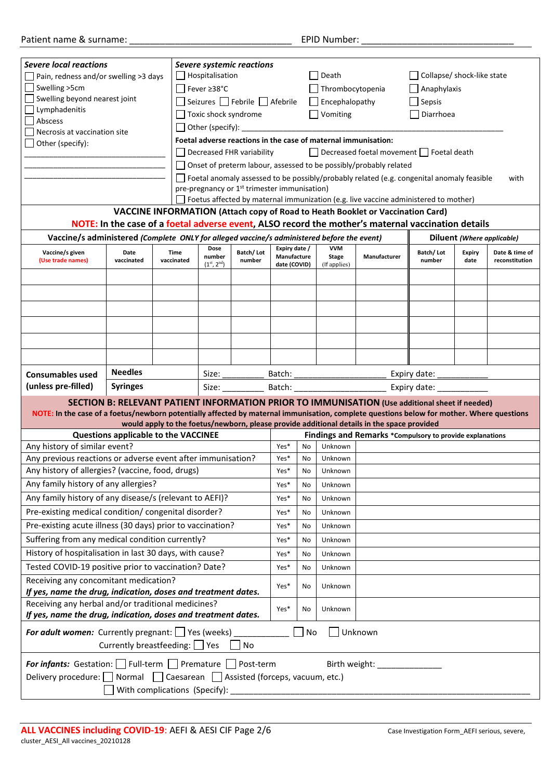| Severe local reactions                                                                                                                    |                                                      |            |                               |                                                                |                                                                                                    |           |                            |                                                                                |               |               |                            |  |  |
|-------------------------------------------------------------------------------------------------------------------------------------------|------------------------------------------------------|------------|-------------------------------|----------------------------------------------------------------|----------------------------------------------------------------------------------------------------|-----------|----------------------------|--------------------------------------------------------------------------------|---------------|---------------|----------------------------|--|--|
| Severe systemic reactions<br>Hospitalisation<br>Pain, redness and/or swelling >3 days                                                     |                                                      |            | Death                         |                                                                |                                                                                                    |           | Collapse/ shock-like state |                                                                                |               |               |                            |  |  |
| Swelling >5cm                                                                                                                             | Fever ≥38°C                                          |            |                               |                                                                |                                                                                                    |           |                            | $\Box$ Anaphylaxis                                                             |               |               |                            |  |  |
| Swelling beyond nearest joint                                                                                                             |                                                      |            |                               |                                                                |                                                                                                    |           | Thrombocytopenia           |                                                                                |               |               |                            |  |  |
| Lymphadenitis                                                                                                                             |                                                      |            | Seizures □ Febrile □ Afebrile |                                                                |                                                                                                    |           | $\Box$ Encephalopathy      |                                                                                | $\Box$ Sepsis |               |                            |  |  |
| Abscess                                                                                                                                   |                                                      |            | Toxic shock syndrome          |                                                                |                                                                                                    |           | $\Box$ Vomiting            |                                                                                | Diarrhoea     |               |                            |  |  |
| Necrosis at vaccination site                                                                                                              |                                                      |            |                               | $\Box$ Other (specify): $\Box$                                 |                                                                                                    |           |                            |                                                                                |               |               |                            |  |  |
| Other (specify):                                                                                                                          |                                                      |            |                               | Foetal adverse reactions in the case of maternal immunisation: |                                                                                                    |           |                            |                                                                                |               |               |                            |  |  |
|                                                                                                                                           |                                                      |            |                               | Decreased FHR variability                                      | Decreased foetal movement   Foetal death                                                           |           |                            |                                                                                |               |               |                            |  |  |
|                                                                                                                                           |                                                      |            |                               |                                                                | Onset of preterm labour, assessed to be possibly/probably related                                  |           |                            |                                                                                |               |               |                            |  |  |
|                                                                                                                                           |                                                      |            |                               |                                                                | Foetal anomaly assessed to be possibly/probably related (e.g. congenital anomaly feasible<br>with  |           |                            |                                                                                |               |               |                            |  |  |
|                                                                                                                                           |                                                      |            |                               |                                                                | pre-pregnancy or 1 <sup>st</sup> trimester immunisation)                                           |           |                            |                                                                                |               |               |                            |  |  |
|                                                                                                                                           |                                                      |            |                               |                                                                | Foetus affected by maternal immunization (e.g. live vaccine administered to mother)                |           |                            |                                                                                |               |               |                            |  |  |
|                                                                                                                                           |                                                      |            |                               |                                                                |                                                                                                    |           |                            | VACCINE INFORMATION (Attach copy of Road to Heath Booklet or Vaccination Card) |               |               |                            |  |  |
|                                                                                                                                           |                                                      |            |                               |                                                                |                                                                                                    |           |                            |                                                                                |               |               |                            |  |  |
|                                                                                                                                           |                                                      |            |                               |                                                                | NOTE: In the case of a foetal adverse event, ALSO record the mother's maternal vaccination details |           |                            |                                                                                |               |               |                            |  |  |
| Vaccine/s administered (Complete ONLY for alleged vaccine/s administered before the event)                                                |                                                      |            |                               |                                                                |                                                                                                    |           |                            |                                                                                |               |               | Diluent (Where applicable) |  |  |
| Vaccine/s given                                                                                                                           | Date                                                 | Time       | Dose<br>number                | Batch/Lot                                                      | Expiry date /<br>Manufacture                                                                       |           | <b>VVM</b><br><b>Stage</b> | Manufacturer                                                                   | Batch/Lot     | <b>Expiry</b> | Date & time of             |  |  |
| (Use trade names)                                                                                                                         | vaccinated                                           | vaccinated | $(1^{st}, 2^{nd})$            | number                                                         | date (COVID)                                                                                       |           | (If applies)               |                                                                                | number        | date          | reconstitution             |  |  |
|                                                                                                                                           |                                                      |            |                               |                                                                |                                                                                                    |           |                            |                                                                                |               |               |                            |  |  |
|                                                                                                                                           |                                                      |            |                               |                                                                |                                                                                                    |           |                            |                                                                                |               |               |                            |  |  |
|                                                                                                                                           |                                                      |            |                               |                                                                |                                                                                                    |           |                            |                                                                                |               |               |                            |  |  |
|                                                                                                                                           |                                                      |            |                               |                                                                |                                                                                                    |           |                            |                                                                                |               |               |                            |  |  |
|                                                                                                                                           |                                                      |            |                               |                                                                |                                                                                                    |           |                            |                                                                                |               |               |                            |  |  |
|                                                                                                                                           |                                                      |            |                               |                                                                |                                                                                                    |           |                            |                                                                                |               |               |                            |  |  |
|                                                                                                                                           |                                                      |            |                               |                                                                |                                                                                                    |           |                            |                                                                                |               |               |                            |  |  |
|                                                                                                                                           |                                                      |            |                               |                                                                |                                                                                                    |           |                            |                                                                                |               |               |                            |  |  |
|                                                                                                                                           |                                                      |            |                               |                                                                |                                                                                                    |           |                            |                                                                                |               |               |                            |  |  |
| <b>Consumables used</b>                                                                                                                   | <b>Needles</b>                                       |            |                               | Size: $\frac{1}{\sqrt{1-\frac{1}{2}}\cdot\frac{1}{2}}$         | Batch:<br>Expiry date:                                                                             |           |                            |                                                                                |               |               |                            |  |  |
| (unless pre-filled)                                                                                                                       | <b>Syringes</b><br>Size:<br>Batch:<br>Expiry date:   |            |                               |                                                                |                                                                                                    |           |                            |                                                                                |               |               |                            |  |  |
| SECTION B: RELEVANT PATIENT INFORMATION PRIOR TO IMMUNISATION (Use additional sheet if needed)                                            |                                                      |            |                               |                                                                |                                                                                                    |           |                            |                                                                                |               |               |                            |  |  |
| NOTE: In the case of a foetus/newborn potentially affected by maternal immunisation, complete questions below for mother. Where questions |                                                      |            |                               |                                                                |                                                                                                    |           |                            |                                                                                |               |               |                            |  |  |
| would apply to the foetus/newborn, please provide additional details in the space provided                                                |                                                      |            |                               |                                                                |                                                                                                    |           |                            |                                                                                |               |               |                            |  |  |
|                                                                                                                                           | Questions applicable to the VACCINEE                 |            |                               |                                                                |                                                                                                    |           |                            | Findings and Remarks *Compulsory to provide explanations                       |               |               |                            |  |  |
| Any history of similar event?                                                                                                             |                                                      |            |                               |                                                                | Yes*                                                                                               | <b>No</b> | Unknown                    |                                                                                |               |               |                            |  |  |
| Any previous reactions or adverse event after immunisation?                                                                               |                                                      |            |                               |                                                                | Yes*                                                                                               | No        | Unknown                    |                                                                                |               |               |                            |  |  |
| Any history of allergies? (vaccine, food, drugs)                                                                                          |                                                      |            |                               |                                                                | Yes*                                                                                               | No        | Unknown                    |                                                                                |               |               |                            |  |  |
| Any family history of any allergies?                                                                                                      |                                                      |            |                               |                                                                | Yes*                                                                                               | No        | Unknown                    |                                                                                |               |               |                            |  |  |
| Any family history of any disease/s (relevant to AEFI)?                                                                                   |                                                      |            |                               |                                                                |                                                                                                    |           |                            |                                                                                |               |               |                            |  |  |
|                                                                                                                                           |                                                      |            |                               |                                                                | Yes*                                                                                               | No        | Unknown                    |                                                                                |               |               |                            |  |  |
| Pre-existing medical condition/ congenital disorder?                                                                                      |                                                      |            |                               |                                                                | Yes*                                                                                               | No        | Unknown                    |                                                                                |               |               |                            |  |  |
| Pre-existing acute illness (30 days) prior to vaccination?                                                                                |                                                      |            |                               |                                                                | Yes*                                                                                               | No        | Unknown                    |                                                                                |               |               |                            |  |  |
| Suffering from any medical condition currently?                                                                                           |                                                      |            |                               |                                                                | Yes*                                                                                               | No        | Unknown                    |                                                                                |               |               |                            |  |  |
|                                                                                                                                           |                                                      |            |                               |                                                                | Yes*                                                                                               | No        | Unknown                    |                                                                                |               |               |                            |  |  |
| History of hospitalisation in last 30 days, with cause?                                                                                   |                                                      |            |                               |                                                                |                                                                                                    |           |                            |                                                                                |               |               |                            |  |  |
|                                                                                                                                           | Tested COVID-19 positive prior to vaccination? Date? |            |                               |                                                                | Yes*                                                                                               | No        | Unknown                    |                                                                                |               |               |                            |  |  |
| Receiving any concomitant medication?<br>Yes*                                                                                             |                                                      |            |                               |                                                                | No                                                                                                 | Unknown   |                            |                                                                                |               |               |                            |  |  |
| If yes, name the drug, indication, doses and treatment dates.                                                                             |                                                      |            |                               |                                                                |                                                                                                    |           |                            |                                                                                |               |               |                            |  |  |
| Receiving any herbal and/or traditional medicines?                                                                                        |                                                      |            |                               | Yes*                                                           | No                                                                                                 | Unknown   |                            |                                                                                |               |               |                            |  |  |
| If yes, name the drug, indication, doses and treatment dates.                                                                             |                                                      |            |                               |                                                                |                                                                                                    |           |                            |                                                                                |               |               |                            |  |  |
| <b>For adult women:</b> Currently pregnant: Yes (weeks)<br>Unknown<br>No                                                                  |                                                      |            |                               |                                                                |                                                                                                    |           |                            |                                                                                |               |               |                            |  |  |
|                                                                                                                                           | Currently breastfeeding: Yes                         |            |                               | N <sub>o</sub>                                                 |                                                                                                    |           |                            |                                                                                |               |               |                            |  |  |
|                                                                                                                                           |                                                      |            |                               |                                                                |                                                                                                    |           |                            |                                                                                |               |               |                            |  |  |
| <b>For infants:</b> Gestation:   Full-term   Premature   Post-term                                                                        |                                                      |            |                               |                                                                |                                                                                                    |           | Birth weight:              |                                                                                |               |               |                            |  |  |
| Delivery procedure: Normal   Caesarean   Assisted (forceps, vacuum, etc.)                                                                 |                                                      |            |                               |                                                                |                                                                                                    |           |                            |                                                                                |               |               |                            |  |  |
|                                                                                                                                           |                                                      |            |                               |                                                                |                                                                                                    |           |                            |                                                                                |               |               |                            |  |  |
| With complications (Specify):                                                                                                             |                                                      |            |                               |                                                                |                                                                                                    |           |                            |                                                                                |               |               |                            |  |  |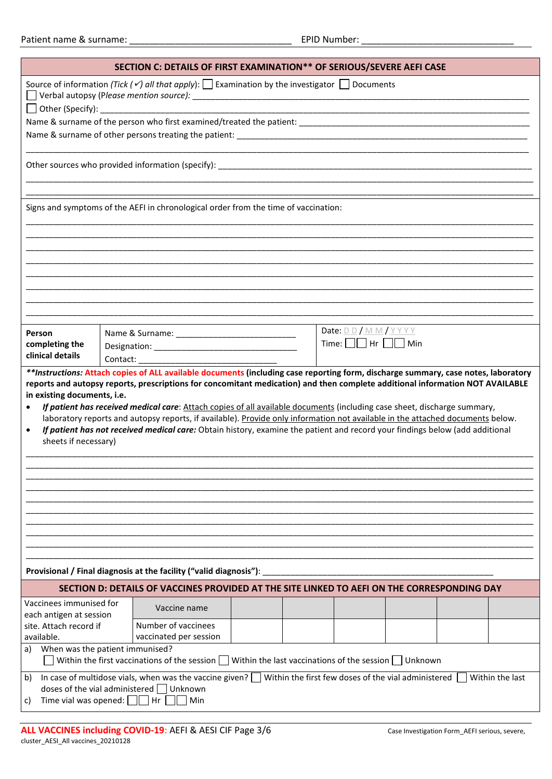| SECTION C: DETAILS OF FIRST EXAMINATION** OF SERIOUS/SEVERE AEFI CASE                                                                                                                                                                                                                                                                                                                                                                                                                                                                                                                                                                                                                                                                                                                                                    |                                                                                             |  |                                      |  |  |  |  |
|--------------------------------------------------------------------------------------------------------------------------------------------------------------------------------------------------------------------------------------------------------------------------------------------------------------------------------------------------------------------------------------------------------------------------------------------------------------------------------------------------------------------------------------------------------------------------------------------------------------------------------------------------------------------------------------------------------------------------------------------------------------------------------------------------------------------------|---------------------------------------------------------------------------------------------|--|--------------------------------------|--|--|--|--|
| Source of information (Tick $(\check{\ell})$ all that apply): $\Box$ Examination by the investigator $\Box$ Documents                                                                                                                                                                                                                                                                                                                                                                                                                                                                                                                                                                                                                                                                                                    |                                                                                             |  |                                      |  |  |  |  |
|                                                                                                                                                                                                                                                                                                                                                                                                                                                                                                                                                                                                                                                                                                                                                                                                                          |                                                                                             |  |                                      |  |  |  |  |
| <u> 1990 - Andrea Stadt Britain, actor a component de la componentación de la componentación de la componentación</u>                                                                                                                                                                                                                                                                                                                                                                                                                                                                                                                                                                                                                                                                                                    |                                                                                             |  |                                      |  |  |  |  |
|                                                                                                                                                                                                                                                                                                                                                                                                                                                                                                                                                                                                                                                                                                                                                                                                                          |                                                                                             |  |                                      |  |  |  |  |
| Signs and symptoms of the AEFI in chronological order from the time of vaccination:                                                                                                                                                                                                                                                                                                                                                                                                                                                                                                                                                                                                                                                                                                                                      |                                                                                             |  |                                      |  |  |  |  |
|                                                                                                                                                                                                                                                                                                                                                                                                                                                                                                                                                                                                                                                                                                                                                                                                                          |                                                                                             |  |                                      |  |  |  |  |
|                                                                                                                                                                                                                                                                                                                                                                                                                                                                                                                                                                                                                                                                                                                                                                                                                          |                                                                                             |  |                                      |  |  |  |  |
|                                                                                                                                                                                                                                                                                                                                                                                                                                                                                                                                                                                                                                                                                                                                                                                                                          |                                                                                             |  |                                      |  |  |  |  |
| Person                                                                                                                                                                                                                                                                                                                                                                                                                                                                                                                                                                                                                                                                                                                                                                                                                   |                                                                                             |  | Date: DD/MM/YYYY                     |  |  |  |  |
| completing the<br>clinical details                                                                                                                                                                                                                                                                                                                                                                                                                                                                                                                                                                                                                                                                                                                                                                                       |                                                                                             |  | Time: $\Box \Box$ Hr $\Box \Box$ Min |  |  |  |  |
| **Instructions: Attach copies of ALL available documents (including case reporting form, discharge summary, case notes, laboratory<br>reports and autopsy reports, prescriptions for concomitant medication) and then complete additional information NOT AVAILABLE<br>in existing documents, i.e.<br>If patient has received medical care: Attach copies of all available documents (including case sheet, discharge summary,<br>$\bullet$<br>laboratory reports and autopsy reports, if available). Provide only information not available in the attached documents below.<br>If patient has not received medical care: Obtain history, examine the patient and record your findings below (add additional<br>$\bullet$<br>sheets if necessary)<br>Provisional / Final diagnosis at the facility ("valid diagnosis"): |                                                                                             |  |                                      |  |  |  |  |
|                                                                                                                                                                                                                                                                                                                                                                                                                                                                                                                                                                                                                                                                                                                                                                                                                          | SECTION D: DETAILS OF VACCINES PROVIDED AT THE SITE LINKED TO AEFI ON THE CORRESPONDING DAY |  |                                      |  |  |  |  |
| Vaccinees immunised for<br>Vaccine name<br>each antigen at session                                                                                                                                                                                                                                                                                                                                                                                                                                                                                                                                                                                                                                                                                                                                                       |                                                                                             |  |                                      |  |  |  |  |
| available.                                                                                                                                                                                                                                                                                                                                                                                                                                                                                                                                                                                                                                                                                                                                                                                                               | Number of vaccinees<br>site. Attach record if<br>vaccinated per session                     |  |                                      |  |  |  |  |
| When was the patient immunised?<br>a)<br>Within the first vaccinations of the session Within the last vaccinations of the session Unknown                                                                                                                                                                                                                                                                                                                                                                                                                                                                                                                                                                                                                                                                                |                                                                                             |  |                                      |  |  |  |  |
| In case of multidose vials, when was the vaccine given? $\Box$ Within the first few doses of the vial administered<br>Within the last<br>b)<br>doses of the vial administered $\Box$ Unknown<br>Time vial was opened: $\Box$ Hr<br>  Min<br>C)                                                                                                                                                                                                                                                                                                                                                                                                                                                                                                                                                                           |                                                                                             |  |                                      |  |  |  |  |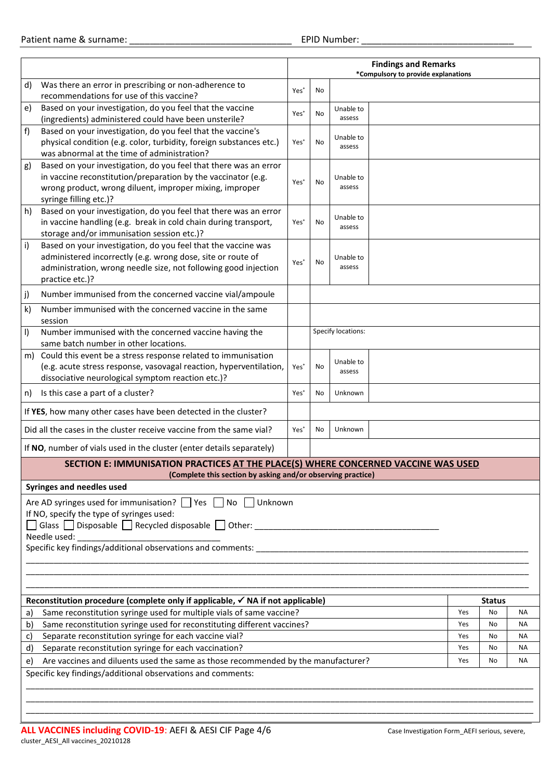|                                                                                                                                                   |                                                                                                                    | <b>Findings and Remarks</b><br>*Compulsory to provide explanations |           |                     |  |  |    |  |
|---------------------------------------------------------------------------------------------------------------------------------------------------|--------------------------------------------------------------------------------------------------------------------|--------------------------------------------------------------------|-----------|---------------------|--|--|----|--|
| d)                                                                                                                                                | Was there an error in prescribing or non-adherence to<br>recommendations for use of this vaccine?                  | Yes <sup>*</sup>                                                   | No        |                     |  |  |    |  |
| e)                                                                                                                                                | Based on your investigation, do you feel that the vaccine<br>(ingredients) administered could have been unsterile? | Yes <sup>*</sup>                                                   | No        | Unable to<br>assess |  |  |    |  |
| f                                                                                                                                                 | Based on your investigation, do you feel that the vaccine's                                                        |                                                                    |           |                     |  |  |    |  |
|                                                                                                                                                   | physical condition (e.g. color, turbidity, foreign substances etc.)<br>was abnormal at the time of administration? | Yes <sup>*</sup>                                                   | <b>No</b> | Unable to<br>assess |  |  |    |  |
|                                                                                                                                                   | Based on your investigation, do you feel that there was an error                                                   |                                                                    |           |                     |  |  |    |  |
| g)                                                                                                                                                | in vaccine reconstitution/preparation by the vaccinator (e.g.                                                      |                                                                    |           | Unable to           |  |  |    |  |
|                                                                                                                                                   | wrong product, wrong diluent, improper mixing, improper                                                            | Yes <sup>*</sup>                                                   | No        | assess              |  |  |    |  |
|                                                                                                                                                   | syringe filling etc.)?                                                                                             |                                                                    |           |                     |  |  |    |  |
| h)                                                                                                                                                | Based on your investigation, do you feel that there was an error                                                   |                                                                    |           |                     |  |  |    |  |
|                                                                                                                                                   | in vaccine handling (e.g. break in cold chain during transport,                                                    | Yes <sup>*</sup>                                                   | No        | Unable to<br>assess |  |  |    |  |
|                                                                                                                                                   | storage and/or immunisation session etc.)?                                                                         |                                                                    |           |                     |  |  |    |  |
| i)                                                                                                                                                | Based on your investigation, do you feel that the vaccine was                                                      |                                                                    |           |                     |  |  |    |  |
|                                                                                                                                                   | administered incorrectly (e.g. wrong dose, site or route of                                                        | Yes <sup>*</sup>                                                   | No        | Unable to           |  |  |    |  |
|                                                                                                                                                   | administration, wrong needle size, not following good injection                                                    |                                                                    |           | assess              |  |  |    |  |
|                                                                                                                                                   | practice etc.)?                                                                                                    |                                                                    |           |                     |  |  |    |  |
| j)                                                                                                                                                | Number immunised from the concerned vaccine vial/ampoule                                                           |                                                                    |           |                     |  |  |    |  |
| $\mathsf{k}$                                                                                                                                      | Number immunised with the concerned vaccine in the same<br>session                                                 |                                                                    |           |                     |  |  |    |  |
| I)                                                                                                                                                | Number immunised with the concerned vaccine having the                                                             |                                                                    |           | Specify locations:  |  |  |    |  |
|                                                                                                                                                   | same batch number in other locations.                                                                              |                                                                    |           |                     |  |  |    |  |
| m)                                                                                                                                                | Could this event be a stress response related to immunisation                                                      |                                                                    |           | Unable to           |  |  |    |  |
|                                                                                                                                                   | (e.g. acute stress response, vasovagal reaction, hyperventilation,                                                 | Yes <sup>*</sup>                                                   | No        | assess              |  |  |    |  |
|                                                                                                                                                   | dissociative neurological symptom reaction etc.)?                                                                  |                                                                    |           |                     |  |  |    |  |
| n)                                                                                                                                                | Is this case a part of a cluster?                                                                                  | Yes <sup>*</sup>                                                   | No        | Unknown             |  |  |    |  |
| If YES, how many other cases have been detected in the cluster?                                                                                   |                                                                                                                    |                                                                    |           |                     |  |  |    |  |
| Did all the cases in the cluster receive vaccine from the same vial?                                                                              |                                                                                                                    |                                                                    |           | Unknown             |  |  |    |  |
|                                                                                                                                                   | If NO, number of vials used in the cluster (enter details separately)                                              |                                                                    |           |                     |  |  |    |  |
| SECTION E: IMMUNISATION PRACTICES AT THE PLACE(S) WHERE CONCERNED VACCINE WAS USED<br>(Complete this section by asking and/or observing practice) |                                                                                                                    |                                                                    |           |                     |  |  |    |  |
|                                                                                                                                                   | <b>Syringes and needles used</b>                                                                                   |                                                                    |           |                     |  |  |    |  |
|                                                                                                                                                   | Are AD syringes used for immunisation? Ves No Unknown<br>If NO, specify the type of syringes used:                 |                                                                    |           |                     |  |  |    |  |
|                                                                                                                                                   |                                                                                                                    |                                                                    |           |                     |  |  |    |  |
|                                                                                                                                                   | Needle used:                                                                                                       |                                                                    |           |                     |  |  |    |  |
|                                                                                                                                                   |                                                                                                                    |                                                                    |           |                     |  |  |    |  |
|                                                                                                                                                   |                                                                                                                    |                                                                    |           |                     |  |  |    |  |
|                                                                                                                                                   |                                                                                                                    |                                                                    |           |                     |  |  |    |  |
|                                                                                                                                                   |                                                                                                                    |                                                                    |           |                     |  |  |    |  |
|                                                                                                                                                   | Reconstitution procedure (complete only if applicable, $\checkmark$ NA if not applicable)<br><b>Status</b>         |                                                                    |           |                     |  |  |    |  |
| Same reconstitution syringe used for multiple vials of same vaccine?<br>Yes<br>No<br>a)                                                           |                                                                                                                    |                                                                    |           |                     |  |  | ΝA |  |
| b)                                                                                                                                                | Same reconstitution syringe used for reconstituting different vaccines?<br>Yes<br>ΝA<br>No                         |                                                                    |           |                     |  |  |    |  |
| c)                                                                                                                                                | Separate reconstitution syringe for each vaccine vial?<br>Yes<br>ΝA<br>No                                          |                                                                    |           |                     |  |  |    |  |
|                                                                                                                                                   | Separate reconstitution syringe for each vaccination?<br>d)<br>Yes<br><b>NA</b><br>No                              |                                                                    |           |                     |  |  |    |  |
| Are vaccines and diluents used the same as those recommended by the manufacturer?<br>e)<br>Yes<br>No<br>ΝA                                        |                                                                                                                    |                                                                    |           |                     |  |  |    |  |
|                                                                                                                                                   | Specific key findings/additional observations and comments:                                                        |                                                                    |           |                     |  |  |    |  |
|                                                                                                                                                   |                                                                                                                    |                                                                    |           |                     |  |  |    |  |
|                                                                                                                                                   |                                                                                                                    |                                                                    |           |                     |  |  |    |  |
|                                                                                                                                                   |                                                                                                                    |                                                                    |           |                     |  |  |    |  |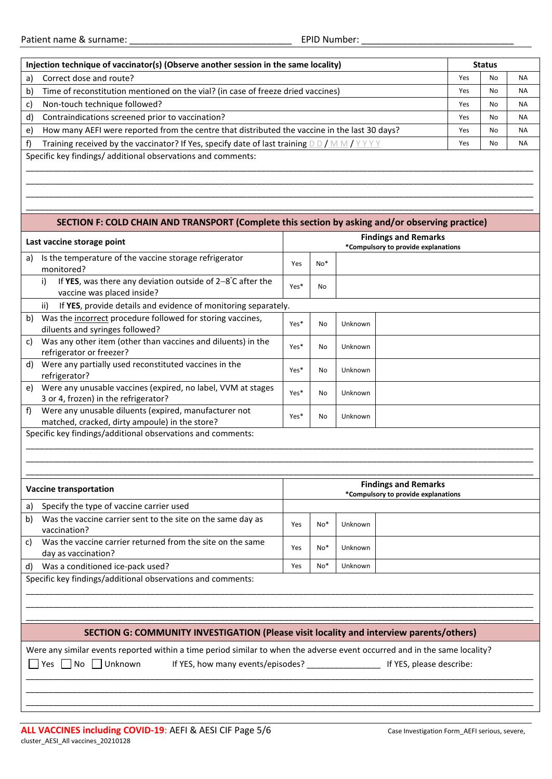| Injection technique of vaccinator(s) (Observe another session in the same locality)                                        |                                                                                                               |      |       |         |                                                                    | <b>Status</b> |    |           |  |
|----------------------------------------------------------------------------------------------------------------------------|---------------------------------------------------------------------------------------------------------------|------|-------|---------|--------------------------------------------------------------------|---------------|----|-----------|--|
| a)                                                                                                                         | Correct dose and route?                                                                                       |      |       |         |                                                                    | Yes           | No | ΝA        |  |
| b)                                                                                                                         | Time of reconstitution mentioned on the vial? (in case of freeze dried vaccines)                              |      |       |         |                                                                    |               |    | ΝA        |  |
| c)                                                                                                                         | Non-touch technique followed?                                                                                 |      |       |         |                                                                    |               |    | <b>NA</b> |  |
| d)                                                                                                                         | Contraindications screened prior to vaccination?                                                              |      | Yes   | No      | ΝA                                                                 |               |    |           |  |
| e)                                                                                                                         | How many AEFI were reported from the centre that distributed the vaccine in the last 30 days?                 |      |       |         |                                                                    | Yes           | No | <b>NA</b> |  |
| f)                                                                                                                         | Training received by the vaccinator? If Yes, specify date of last training $D D / M M / Y Y Y Y$              |      |       |         |                                                                    | Yes           | No | <b>NA</b> |  |
|                                                                                                                            | Specific key findings/ additional observations and comments:                                                  |      |       |         |                                                                    |               |    |           |  |
|                                                                                                                            |                                                                                                               |      |       |         |                                                                    |               |    |           |  |
|                                                                                                                            |                                                                                                               |      |       |         |                                                                    |               |    |           |  |
|                                                                                                                            |                                                                                                               |      |       |         |                                                                    |               |    |           |  |
|                                                                                                                            |                                                                                                               |      |       |         |                                                                    |               |    |           |  |
|                                                                                                                            | SECTION F: COLD CHAIN AND TRANSPORT (Complete this section by asking and/or observing practice)               |      |       |         |                                                                    |               |    |           |  |
|                                                                                                                            | Last vaccine storage point                                                                                    |      |       |         | <b>Findings and Remarks</b><br>*Compulsory to provide explanations |               |    |           |  |
| a)                                                                                                                         | Is the temperature of the vaccine storage refrigerator                                                        |      |       |         |                                                                    |               |    |           |  |
|                                                                                                                            | monitored?                                                                                                    | Yes  | No*   |         |                                                                    |               |    |           |  |
|                                                                                                                            | If YES, was there any deviation outside of $2-8$ °C after the<br>i)                                           | Yes* | No    |         |                                                                    |               |    |           |  |
|                                                                                                                            | vaccine was placed inside?                                                                                    |      |       |         |                                                                    |               |    |           |  |
|                                                                                                                            | If YES, provide details and evidence of monitoring separately.<br>ii)                                         |      |       |         |                                                                    |               |    |           |  |
| b)                                                                                                                         | Was the incorrect procedure followed for storing vaccines,                                                    | Yes* | No    | Unknown |                                                                    |               |    |           |  |
|                                                                                                                            | diluents and syringes followed?                                                                               |      |       |         |                                                                    |               |    |           |  |
| c)                                                                                                                         | Was any other item (other than vaccines and diluents) in the<br>refrigerator or freezer?                      | Yes* | No    | Unknown |                                                                    |               |    |           |  |
| d)                                                                                                                         | Were any partially used reconstituted vaccines in the                                                         |      |       |         |                                                                    |               |    |           |  |
|                                                                                                                            | refrigerator?                                                                                                 | Yes* | No    | Unknown |                                                                    |               |    |           |  |
| e)                                                                                                                         | Were any unusable vaccines (expired, no label, VVM at stages                                                  | Yes* | No    | Unknown |                                                                    |               |    |           |  |
|                                                                                                                            | 3 or 4, frozen) in the refrigerator?                                                                          |      |       |         |                                                                    |               |    |           |  |
| f)                                                                                                                         | Were any unusable diluents (expired, manufacturer not                                                         | Yes* | No    | Unknown |                                                                    |               |    |           |  |
|                                                                                                                            | matched, cracked, dirty ampoule) in the store?<br>Specific key findings/additional observations and comments: |      |       |         |                                                                    |               |    |           |  |
|                                                                                                                            |                                                                                                               |      |       |         |                                                                    |               |    |           |  |
|                                                                                                                            |                                                                                                               |      |       |         |                                                                    |               |    |           |  |
|                                                                                                                            |                                                                                                               |      |       |         |                                                                    |               |    |           |  |
|                                                                                                                            |                                                                                                               |      |       |         | <b>Findings and Remarks</b>                                        |               |    |           |  |
|                                                                                                                            | <b>Vaccine transportation</b>                                                                                 |      |       |         | *Compulsory to provide explanations                                |               |    |           |  |
| a)                                                                                                                         | Specify the type of vaccine carrier used                                                                      |      |       |         |                                                                    |               |    |           |  |
| b)                                                                                                                         | Was the vaccine carrier sent to the site on the same day as                                                   | Yes  | $No*$ | Unknown |                                                                    |               |    |           |  |
| c)                                                                                                                         | vaccination?<br>Was the vaccine carrier returned from the site on the same                                    |      |       |         |                                                                    |               |    |           |  |
|                                                                                                                            | day as vaccination?                                                                                           | Yes  | $No*$ | Unknown |                                                                    |               |    |           |  |
| d)                                                                                                                         | Was a conditioned ice-pack used?                                                                              | Yes  | $No*$ | Unknown |                                                                    |               |    |           |  |
|                                                                                                                            | Specific key findings/additional observations and comments:                                                   |      |       |         |                                                                    |               |    |           |  |
|                                                                                                                            |                                                                                                               |      |       |         |                                                                    |               |    |           |  |
|                                                                                                                            |                                                                                                               |      |       |         |                                                                    |               |    |           |  |
|                                                                                                                            |                                                                                                               |      |       |         |                                                                    |               |    |           |  |
| SECTION G: COMMUNITY INVESTIGATION (Please visit locality and interview parents/others)                                    |                                                                                                               |      |       |         |                                                                    |               |    |           |  |
| Were any similar events reported within a time period similar to when the adverse event occurred and in the same locality? |                                                                                                               |      |       |         |                                                                    |               |    |           |  |
|                                                                                                                            | Unknown<br>  No<br>Yes                                                                                        |      |       |         |                                                                    |               |    |           |  |
|                                                                                                                            |                                                                                                               |      |       |         |                                                                    |               |    |           |  |
|                                                                                                                            |                                                                                                               |      |       |         |                                                                    |               |    |           |  |

\_\_\_\_\_\_\_\_\_\_\_\_\_\_\_\_\_\_\_\_\_\_\_\_\_\_\_\_\_\_\_\_\_\_\_\_\_\_\_\_\_\_\_\_\_\_\_\_\_\_\_\_\_\_\_\_\_\_\_\_\_\_\_\_\_\_\_\_\_\_\_\_\_\_\_\_\_\_\_\_\_\_\_\_\_\_\_\_\_\_\_\_\_\_\_\_\_\_\_\_\_\_\_\_\_\_\_\_\_\_